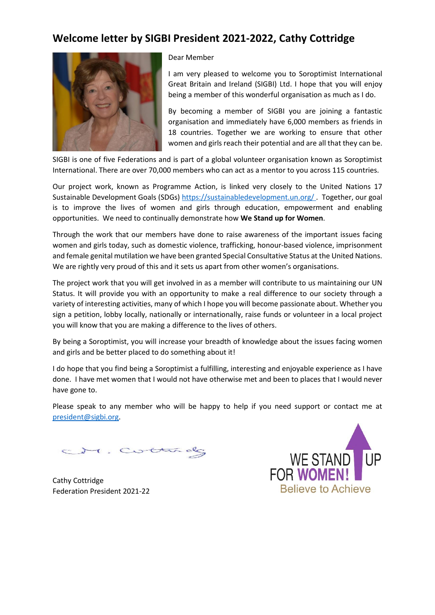### **Welcome letter by SIGBI President 2021-2022, Cathy Cottridge**



#### Dear Member

I am very pleased to welcome you to Soroptimist International Great Britain and Ireland (SIGBI) Ltd. I hope that you will enjoy being a member of this wonderful organisation as much as I do.

By becoming a member of SIGBI you are joining a fantastic organisation and immediately have 6,000 members as friends in 18 countries. Together we are working to ensure that other women and girls reach their potential and are all that they can be.

SIGBI is one of five Federations and is part of a global volunteer organisation known as Soroptimist International. There are over 70,000 members who can act as a mentor to you across 115 countries.

Our project work, known as Programme Action, is linked very closely to the United Nations 17 Sustainable Development Goals (SDGs)<https://sustainabledevelopment.un.org/>. Together, our goal is to improve the lives of women and girls through education, empowerment and enabling opportunities. We need to continually demonstrate how **We Stand up for Women**.

Through the work that our members have done to raise awareness of the important issues facing women and girls today, such as domestic violence, trafficking, honour-based violence, imprisonment and female genital mutilation we have been granted Special Consultative Status at the United Nations. We are rightly very proud of this and it sets us apart from other women's organisations.

The project work that you will get involved in as a member will contribute to us maintaining our UN Status. It will provide you with an opportunity to make a real difference to our society through a variety of interesting activities, many of which I hope you will become passionate about. Whether you sign a petition, lobby locally, nationally or internationally, raise funds or volunteer in a local project you will know that you are making a difference to the lives of others.

By being a Soroptimist, you will increase your breadth of knowledge about the issues facing women and girls and be better placed to do something about it!

I do hope that you find being a Soroptimist a fulfilling, interesting and enjoyable experience as I have done. I have met women that I would not have otherwise met and been to places that I would never have gone to.

Please speak to any member who will be happy to help if you need support or contact me at [president@sigbi.org.](mailto:president@sigbi.org)

ct. Cottack

Cathy Cottridge Federation President 2021-22

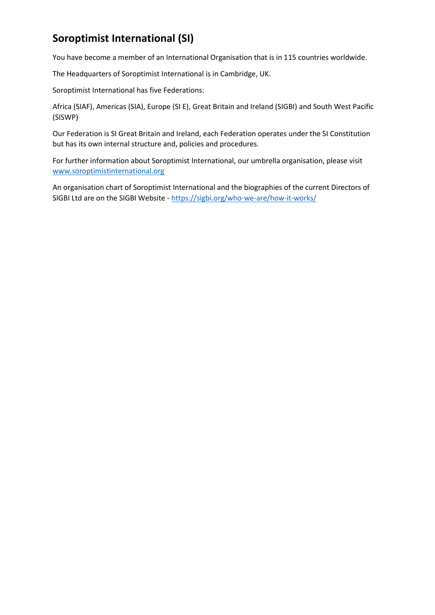# **Soroptimist International (SI)**

You have become a member of an International Organisation that is in 115 countries worldwide.

The Headquarters of Soroptimist International is in Cambridge, UK.

Soroptimist International has five Federations:

Africa (SIAF), Americas (SIA), Europe (SI E), Great Britain and Ireland (SIGBI) and South West Pacific (SISWP)

Our Federation is SI Great Britain and Ireland, each Federation operates under the SI Constitution but has its own internal structure and, policies and procedures.

For further information about Soroptimist International, our umbrella organisation, please visit [www.soroptimistinternational.org](https://www.soroptimistinternational.org/)

An organisation chart of Soroptimist International and the biographies of the current Directors of SIGBI Ltd are on the SIGBI Website - <https://sigbi.org/who-we-are/how-it-works/>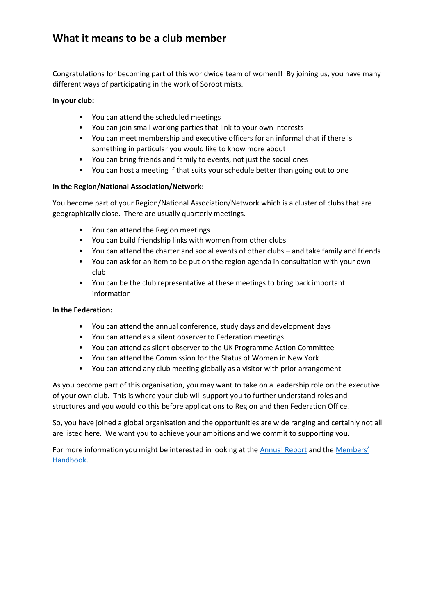## **What it means to be a club member**

Congratulations for becoming part of this worldwide team of women!! By joining us, you have many different ways of participating in the work of Soroptimists.

#### **In your club:**

- You can attend the scheduled meetings
- You can join small working parties that link to your own interests
- You can meet membership and executive officers for an informal chat if there is something in particular you would like to know more about
- You can bring friends and family to events, not just the social ones
- You can host a meeting if that suits your schedule better than going out to one

### **In the Region/National Association/Network:**

You become part of your Region/National Association/Network which is a cluster of clubs that are geographically close. There are usually quarterly meetings.

- You can attend the Region meetings
- You can build friendship links with women from other clubs
- You can attend the charter and social events of other clubs and take family and friends
- You can ask for an item to be put on the region agenda in consultation with your own club
- You can be the club representative at these meetings to bring back important information

### **In the Federation:**

- You can attend the annual conference, study days and development days
- You can attend as a silent observer to Federation meetings
- You can attend as silent observer to the UK Programme Action Committee
- You can attend the Commission for the Status of Women in New York
- You can attend any club meeting globally as a visitor with prior arrangement

As you become part of this organisation, you may want to take on a leadership role on the executive of your own club. This is where your club will support you to further understand roles and structures and you would do this before applications to Region and then Federation Office.

So, you have joined a global organisation and the opportunities are wide ranging and certainly not all are listed here. We want you to achieve your ambitions and we commit to supporting you.

For more information you might be interested in looking at th[e Annual Report](https://sigbi.org/members/files/Annual-Report-2020.pdf) and the [Members](https://sigbi.org/members/files/Members-Handbook.pdf)' [Handbook.](https://sigbi.org/members/files/Members-Handbook.pdf)